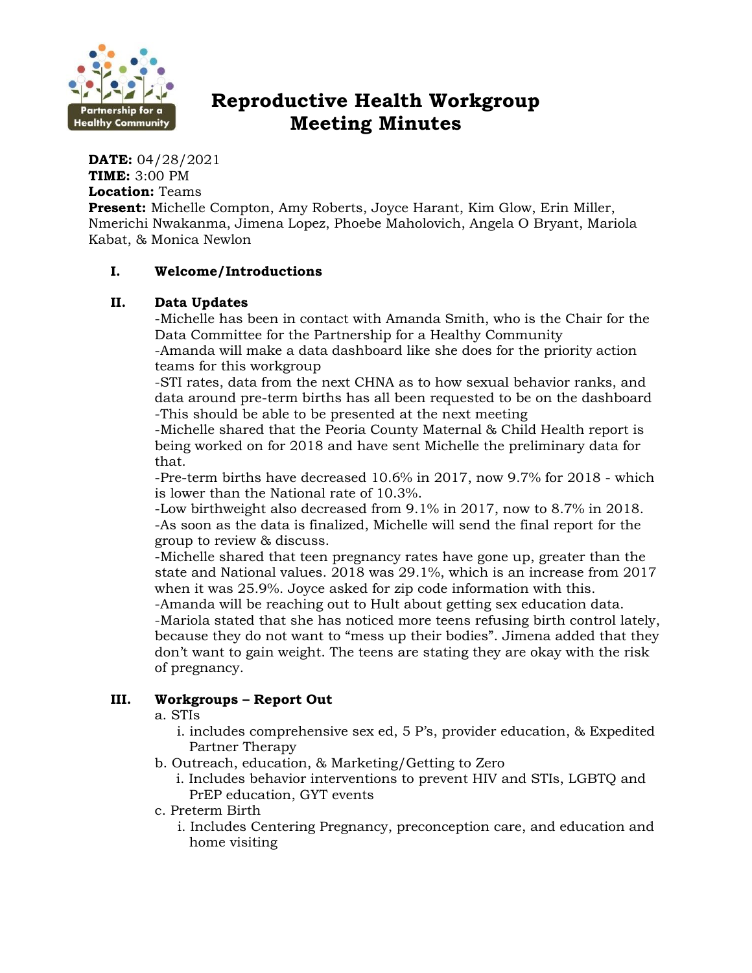

# **Reproductive Health Workgroup Meeting Minutes**

**DATE:** 04/28/2021 **TIME:** 3:00 PM **Location:** Teams

**Present:** Michelle Compton, Amy Roberts, Joyce Harant, Kim Glow, Erin Miller, Nmerichi Nwakanma, Jimena Lopez, Phoebe Maholovich, Angela O Bryant, Mariola Kabat, & Monica Newlon

# **I. Welcome/Introductions**

# **II. Data Updates**

-Michelle has been in contact with Amanda Smith, who is the Chair for the Data Committee for the Partnership for a Healthy Community

-Amanda will make a data dashboard like she does for the priority action teams for this workgroup

-STI rates, data from the next CHNA as to how sexual behavior ranks, and data around pre-term births has all been requested to be on the dashboard -This should be able to be presented at the next meeting

-Michelle shared that the Peoria County Maternal & Child Health report is being worked on for 2018 and have sent Michelle the preliminary data for that.

-Pre-term births have decreased 10.6% in 2017, now 9.7% for 2018 - which is lower than the National rate of 10.3%.

-Low birthweight also decreased from 9.1% in 2017, now to 8.7% in 2018. -As soon as the data is finalized, Michelle will send the final report for the group to review & discuss.

-Michelle shared that teen pregnancy rates have gone up, greater than the state and National values. 2018 was 29.1%, which is an increase from 2017 when it was 25.9%. Joyce asked for zip code information with this.

-Amanda will be reaching out to Hult about getting sex education data. -Mariola stated that she has noticed more teens refusing birth control lately, because they do not want to "mess up their bodies". Jimena added that they don't want to gain weight. The teens are stating they are okay with the risk of pregnancy.

# **III. Workgroups – Report Out**

a. STIs

i. includes comprehensive sex ed, 5 P's, provider education, & Expedited Partner Therapy

- b. Outreach, education, & Marketing/Getting to Zero
	- i. Includes behavior interventions to prevent HIV and STIs, LGBTQ and PrEP education, GYT events
- c. Preterm Birth

i. Includes Centering Pregnancy, preconception care, and education and home visiting